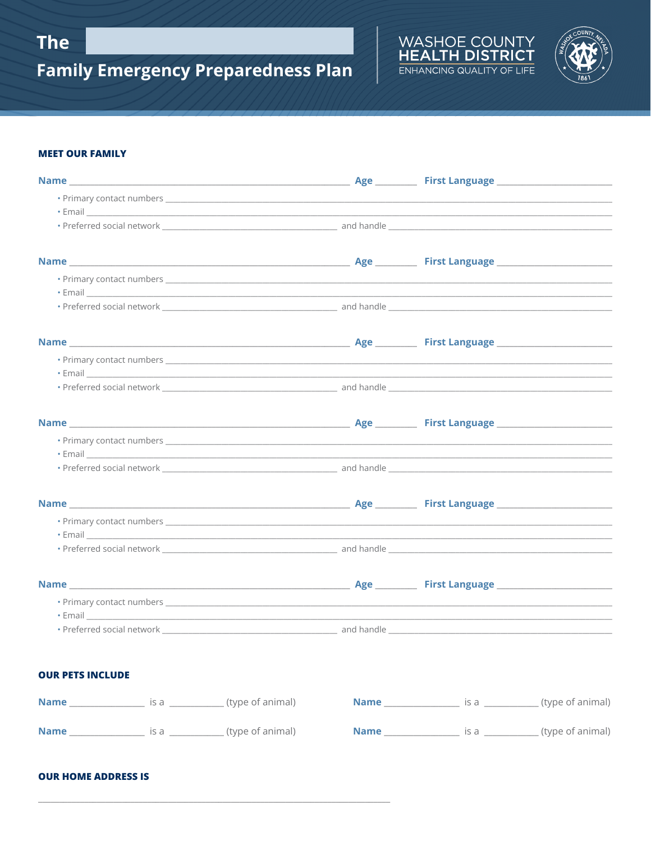



#### **MEET OUR FAMILY**

| • Email <u>Communication of the communication</u> of the communication of the communication of the communication of the communication of the communication of the communication of the communication of the communication of the co  |  |                                       |  |
|--------------------------------------------------------------------------------------------------------------------------------------------------------------------------------------------------------------------------------------|--|---------------------------------------|--|
|                                                                                                                                                                                                                                      |  |                                       |  |
|                                                                                                                                                                                                                                      |  |                                       |  |
|                                                                                                                                                                                                                                      |  |                                       |  |
| • Email <u>Communication of the communication</u> of the communication of the communication of the communication of the communication of the communication of the communication of the communication of the communication of the co  |  |                                       |  |
|                                                                                                                                                                                                                                      |  |                                       |  |
|                                                                                                                                                                                                                                      |  |                                       |  |
|                                                                                                                                                                                                                                      |  |                                       |  |
| • Email <u>experimental control of the series of the series of the series of the series of the series of the series of the series of the series of the series of the series of the series of the series of the series of the ser</u> |  |                                       |  |
|                                                                                                                                                                                                                                      |  |                                       |  |
|                                                                                                                                                                                                                                      |  |                                       |  |
|                                                                                                                                                                                                                                      |  |                                       |  |
| • Email <u>Communication of the communication</u> of the communication of the communication of the communication of the communication of the communication of the communication of the communication of the communication of the co  |  |                                       |  |
|                                                                                                                                                                                                                                      |  |                                       |  |
|                                                                                                                                                                                                                                      |  |                                       |  |
|                                                                                                                                                                                                                                      |  |                                       |  |
| • Email <b>Exercía de Santa Caractería de Santa Caractería</b> de Santa Caractería de Santa Caractería de Santa Caractería                                                                                                           |  |                                       |  |
|                                                                                                                                                                                                                                      |  |                                       |  |
|                                                                                                                                                                                                                                      |  |                                       |  |
|                                                                                                                                                                                                                                      |  |                                       |  |
| • Email 2008 2009 2010 2020 2020 2021 2021 2022 2021 2022 2022 2022 2022 2022 2022 2022 2022 2022 2022 2022 20                                                                                                                       |  |                                       |  |
|                                                                                                                                                                                                                                      |  |                                       |  |
|                                                                                                                                                                                                                                      |  |                                       |  |
| <b>OUR PETS INCLUDE</b>                                                                                                                                                                                                              |  |                                       |  |
|                                                                                                                                                                                                                                      |  |                                       |  |
|                                                                                                                                                                                                                                      |  | <b>Name</b> is a set (type of animal) |  |

### **OUR HOME ADDRESS IS**